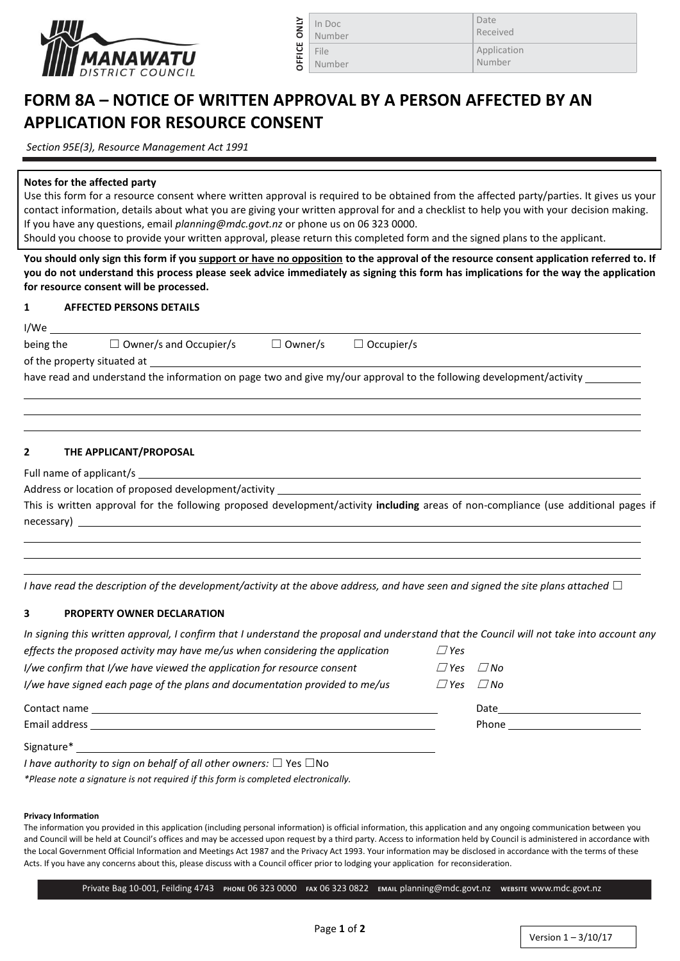

| In Doc |
|--------|
| Number |
| File   |
| Number |

Date Received Application Number

# **FORM 8A – NOTICE OF WRITTEN APPROVAL BY A PERSON AFFECTED BY AN APPLICATION FOR RESOURCE CONSENT**

**OFFICE ONLY**

*Section 95E(3), Resource Management Act 1991*

# **Notes for the affected party**

Use this form for a resource consent where written approval is required to be obtained from the affected party/parties. It gives us your contact information, details about what you are giving your written approval for and a checklist to help you with your decision making. If you have any questions, email *planning@mdc.govt.nz* or phone us on 06 323 0000.

Should you choose to provide your written approval, please return this completed form and the signed plans to the applicant.

**You should only sign this form if you support or have no opposition to the approval of the resource consent application referred to. If you do not understand this process please seek advice immediately as signing this form has implications for the way the application for resource consent will be processed.**

# **1 AFFECTED PERSONS DETAILS**

| I/We                                                                                                                |                               |                |                   |  |  |  |  |  |
|---------------------------------------------------------------------------------------------------------------------|-------------------------------|----------------|-------------------|--|--|--|--|--|
| being the                                                                                                           | $\Box$ Owner/s and Occupier/s | $\Box$ Owner/s | $\Box$ Occupier/s |  |  |  |  |  |
| of the property situated at                                                                                         |                               |                |                   |  |  |  |  |  |
| have read and understand the information on page two and give my/our approval to the following development/activity |                               |                |                   |  |  |  |  |  |

### **2 THE APPLICANT/PROPOSAL**

Full name of applicant/s

Address or location of proposed development/activity

This is written approval for the following proposed development/activity **including** areas of non-compliance (use additional pages if necessary)

*I* have read the description of the development/activity at the above address, and have seen and signed the site plans attached □

### **3 PROPERTY OWNER DECLARATION**

| In signing this written approval, I confirm that I understand the proposal and understand that the Council will not take into account any |                      |                                                                                                                                                                                                                                |
|-------------------------------------------------------------------------------------------------------------------------------------------|----------------------|--------------------------------------------------------------------------------------------------------------------------------------------------------------------------------------------------------------------------------|
| effects the proposed activity may have me/us when considering the application                                                             | $\Box$ Yes           |                                                                                                                                                                                                                                |
| I/we confirm that I/we have viewed the application for resource consent                                                                   | $\Box$ Yes $\Box$ No |                                                                                                                                                                                                                                |
| I/we have signed each page of the plans and documentation provided to me/us                                                               | $\Box$ Yes $\Box$ No |                                                                                                                                                                                                                                |
| Contact name                                                                                                                              |                      | Date and the contract of the contract of the contract of the contract of the contract of the contract of the contract of the contract of the contract of the contract of the contract of the contract of the contract of the c |
| Email address                                                                                                                             |                      | Phone                                                                                                                                                                                                                          |
| Signature*                                                                                                                                |                      |                                                                                                                                                                                                                                |

*I have authority to sign on behalf of all other owners:* □ Yes □No

*\*Please note a signature is not required if this form is completed electronically.*

#### **Privacy Information**

The information you provided in this application (including personal information) is official information, this application and any ongoing communication between you and Council will be held at Council's offices and may be accessed upon request by a third party. Access to information held by Council is administered in accordance with the Local Government Official Information and Meetings Act 1987 and the Privacy Act 1993. Your information may be disclosed in accordance with the terms of these Acts. If you have any concerns about this, please discuss with a Council officer prior to lodging your application for reconsideration.

Private Bag 10-001, Feilding 4743 **PHONE** 06 323 0000 **FAX** 06 323 0822 **EMAIL** planning@mdc.govt.nz **WEBSITE** [www.mdc.govt.nz](http://www.mdc.govt.nz/) 

 $\overline{a}$